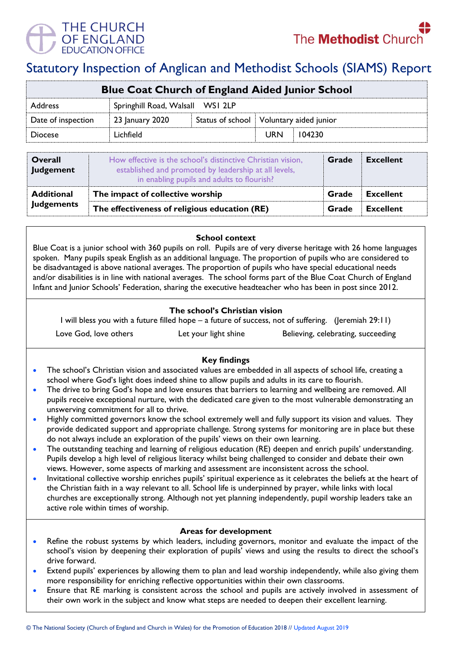

# Statutory Inspection of Anglican and Methodist Schools (SIAMS) Report

| <b>Blue Coat Church of England Aided Junior School</b> |                                  |  |                                           |        |  |
|--------------------------------------------------------|----------------------------------|--|-------------------------------------------|--------|--|
| <b>Address</b>                                         | Springhill Road, Walsall WSI 2LP |  |                                           |        |  |
| Date of inspection                                     | 23 January 2020                  |  | Status of school   Voluntary aided junior |        |  |
| <b>Diocese</b>                                         | Lichfield                        |  | <b>URN</b>                                | 104230 |  |
|                                                        |                                  |  |                                           |        |  |

| Overall<br><b>Judgement</b> | How effective is the school's distinctive Christian vision,<br>established and promoted by leadership at all levels,<br>in enabling pupils and adults to flourish? | Grade | <b>Excellent</b> |
|-----------------------------|--------------------------------------------------------------------------------------------------------------------------------------------------------------------|-------|------------------|
| <b>Additional</b>           | The impact of collective worship                                                                                                                                   | Grade | <b>Excellent</b> |
| <b>Judgements</b>           | The effectiveness of religious education (RE)                                                                                                                      |       | <b>Excellent</b> |

**School context** 

Blue Coat is a junior school with 360 pupils on roll. Pupils are of very diverse heritage with 26 home languages spoken. Many pupils speak English as an additional language. The proportion of pupils who are considered to be disadvantaged is above national averages. The proportion of pupils who have special educational needs and/or disabilities is in line with national averages. The school forms part of the Blue Coat Church of England Infant and Junior Schools' Federation, sharing the executive headteacher who has been in post since 2012.

### **The school's Christian vision**

I will bless you with a future filled hope – a future of success, not of suffering. (Jeremiah 29:11)

Love God, love others Let your light shine Believing, celebrating, succeeding

## **Key findings**

- The school's Christian vision and associated values are embedded in all aspects of school life, creating a school where God's light does indeed shine to allow pupils and adults in its care to flourish.
- The drive to bring God's hope and love ensures that barriers to learning and wellbeing are removed. All pupils receive exceptional nurture, with the dedicated care given to the most vulnerable demonstrating an unswerving commitment for all to thrive.
- Highly committed governors know the school extremely well and fully support its vision and values. They provide dedicated support and appropriate challenge. Strong systems for monitoring are in place but these do not always include an exploration of the pupils' views on their own learning.
- The outstanding teaching and learning of religious education (RE) deepen and enrich pupils' understanding. Pupils develop a high level of religious literacy whilst being challenged to consider and debate their own views. However, some aspects of marking and assessment are inconsistent across the school.
- Invitational collective worship enriches pupils' spiritual experience as it celebrates the beliefs at the heart of the Christian faith in a way relevant to all. School life is underpinned by prayer, while links with local churches are exceptionally strong. Although not yet planning independently, pupil worship leaders take an active role within times of worship.

#### **Areas for development**

- Refine the robust systems by which leaders, including governors, monitor and evaluate the impact of the school's vision by deepening their exploration of pupils' views and using the results to direct the school's drive forward.
- Extend pupils' experiences by allowing them to plan and lead worship independently, while also giving them more responsibility for enriching reflective opportunities within their own classrooms.
- Ensure that RE marking is consistent across the school and pupils are actively involved in assessment of their own work in the subject and know what steps are needed to deepen their excellent learning.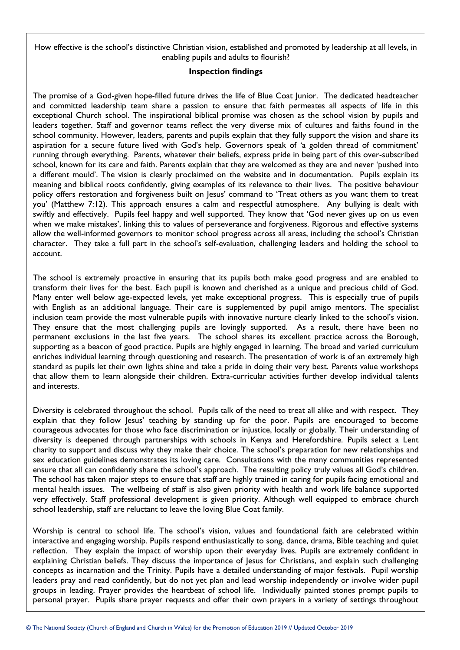How effective is the school's distinctive Christian vision, established and promoted by leadership at all levels, in enabling pupils and adults to flourish?

#### **Inspection findings**

The promise of a God-given hope-filled future drives the life of Blue Coat Junior. The dedicated headteacher and committed leadership team share a passion to ensure that faith permeates all aspects of life in this exceptional Church school. The inspirational biblical promise was chosen as the school vision by pupils and leaders together. Staff and governor teams reflect the very diverse mix of cultures and faiths found in the school community. However, leaders, parents and pupils explain that they fully support the vision and share its aspiration for a secure future lived with God's help. Governors speak of 'a golden thread of commitment' running through everything. Parents, whatever their beliefs, express pride in being part of this over-subscribed school, known for its care and faith. Parents explain that they are welcomed as they are and never 'pushed into a different mould'. The vision is clearly proclaimed on the website and in documentation. Pupils explain its meaning and biblical roots confidently, giving examples of its relevance to their lives. The positive behaviour policy offers restoration and forgiveness built on Jesus' command to 'Treat others as you want them to treat you' (Matthew 7:12). This approach ensures a calm and respectful atmosphere. Any bullying is dealt with swiftly and effectively. Pupils feel happy and well supported. They know that 'God never gives up on us even when we make mistakes', linking this to values of perseverance and forgiveness. Rigorous and effective systems allow the well-informed governors to monitor school progress across all areas, including the school's Christian character. They take a full part in the school's self-evaluation, challenging leaders and holding the school to account.

The school is extremely proactive in ensuring that its pupils both make good progress and are enabled to transform their lives for the best. Each pupil is known and cherished as a unique and precious child of God. Many enter well below age-expected levels, yet make exceptional progress. This is especially true of pupils with English as an additional language. Their care is supplemented by pupil amigo mentors. The specialist inclusion team provide the most vulnerable pupils with innovative nurture clearly linked to the school's vision. They ensure that the most challenging pupils are lovingly supported. As a result, there have been no permanent exclusions in the last five years. The school shares its excellent practice across the Borough, supporting as a beacon of good practice. Pupils are highly engaged in learning. The broad and varied curriculum enriches individual learning through questioning and research. The presentation of work is of an extremely high standard as pupils let their own lights shine and take a pride in doing their very best. Parents value workshops that allow them to learn alongside their children. Extra-curricular activities further develop individual talents and interests.

Diversity is celebrated throughout the school. Pupils talk of the need to treat all alike and with respect. They explain that they follow Jesus' teaching by standing up for the poor. Pupils are encouraged to become courageous advocates for those who face discrimination or injustice, locally or globally. Their understanding of diversity is deepened through partnerships with schools in Kenya and Herefordshire. Pupils select a Lent charity to support and discuss why they make their choice. The school's preparation for new relationships and sex education guidelines demonstrates its loving care. Consultations with the many communities represented ensure that all can confidently share the school's approach. The resulting policy truly values all God's children. The school has taken major steps to ensure that staff are highly trained in caring for pupils facing emotional and mental health issues. The wellbeing of staff is also given priority with health and work life balance supported very effectively. Staff professional development is given priority. Although well equipped to embrace church school leadership, staff are reluctant to leave the loving Blue Coat family.

Worship is central to school life. The school's vision, values and foundational faith are celebrated within interactive and engaging worship. Pupils respond enthusiastically to song, dance, drama, Bible teaching and quiet reflection. They explain the impact of worship upon their everyday lives. Pupils are extremely confident in explaining Christian beliefs. They discuss the importance of Jesus for Christians, and explain such challenging concepts as incarnation and the Trinity. Pupils have a detailed understanding of major festivals. Pupil worship leaders pray and read confidently, but do not yet plan and lead worship independently or involve wider pupil groups in leading. Prayer provides the heartbeat of school life. Individually painted stones prompt pupils to personal prayer. Pupils share prayer requests and offer their own prayers in a variety of settings throughout